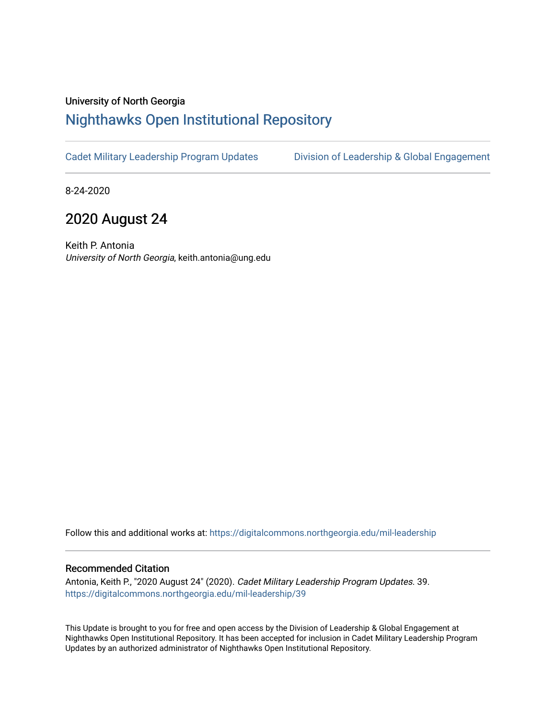## University of North Georgia

## [Nighthawks Open Institutional Repository](https://digitalcommons.northgeorgia.edu/)

[Cadet Military Leadership Program Updates](https://digitalcommons.northgeorgia.edu/mil-leadership) [Division of Leadership & Global Engagement](https://digitalcommons.northgeorgia.edu/leadership) 

8-24-2020

# 2020 August 24

Keith P. Antonia University of North Georgia, keith.antonia@ung.edu

Follow this and additional works at: [https://digitalcommons.northgeorgia.edu/mil-leadership](https://digitalcommons.northgeorgia.edu/mil-leadership?utm_source=digitalcommons.northgeorgia.edu%2Fmil-leadership%2F39&utm_medium=PDF&utm_campaign=PDFCoverPages) 

#### Recommended Citation

Antonia, Keith P., "2020 August 24" (2020). Cadet Military Leadership Program Updates. 39. [https://digitalcommons.northgeorgia.edu/mil-leadership/39](https://digitalcommons.northgeorgia.edu/mil-leadership/39?utm_source=digitalcommons.northgeorgia.edu%2Fmil-leadership%2F39&utm_medium=PDF&utm_campaign=PDFCoverPages)

This Update is brought to you for free and open access by the Division of Leadership & Global Engagement at Nighthawks Open Institutional Repository. It has been accepted for inclusion in Cadet Military Leadership Program Updates by an authorized administrator of Nighthawks Open Institutional Repository.